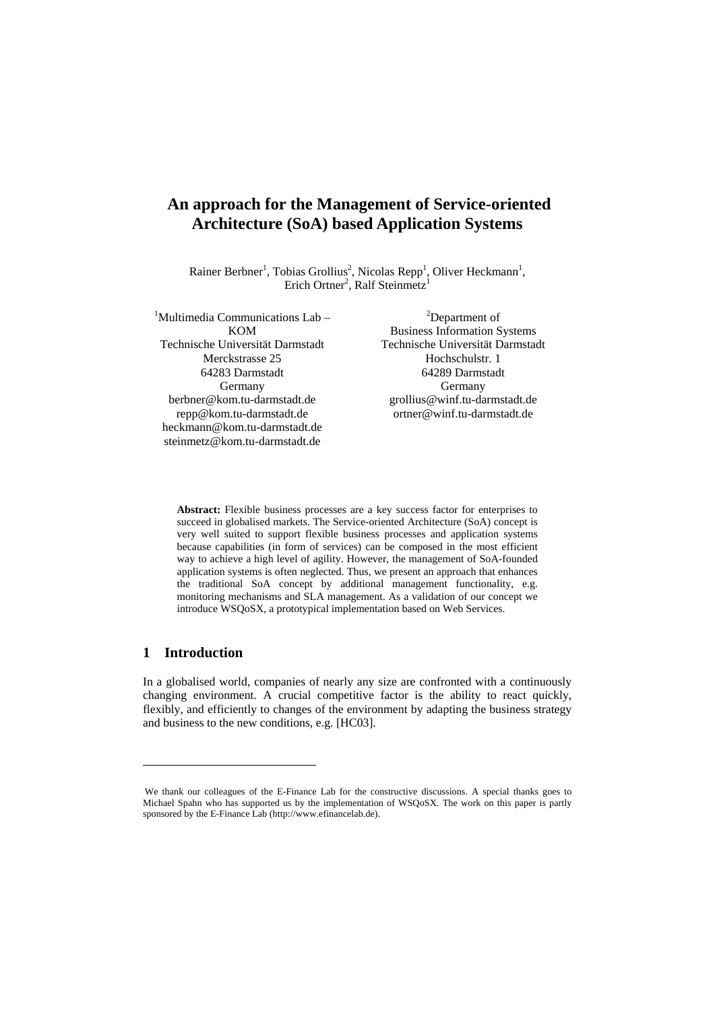# **An approach for the Management of Service-oriented Architecture (SoA) based Application Systems**

Rainer Berbner<sup>1</sup>, Tobias Grollius<sup>2</sup>, Nicolas Repp<sup>1</sup>, Oliver Heckmann<sup>1</sup>, Erich Ortner<sup>2</sup>, Ralf Steinmetz<sup>1</sup>

| <sup>1</sup> Multimedia Communications Lab – | <sup>2</sup> Department of          |
|----------------------------------------------|-------------------------------------|
| <b>KOM</b>                                   | <b>Business Information Systems</b> |
| Technische Universität Darmstadt             | Technische Universität Darmstadt    |
| Merckstrasse 25                              | Hochschulstr. 1                     |
| 64283 Darmstadt                              | 64289 Darmstadt                     |
| Germany                                      | Germany                             |
| berbner@kom.tu-darmstadt.de                  | grollius@winf.tu-darmstadt.de       |
| repp@kom.tu-darmstadt.de                     | ortner@winf.tu-darmstadt.de         |
| heckmann@kom.tu-darmstadt.de                 |                                     |
| steinmetz@kom.tu-darmstadt.de                |                                     |
|                                              |                                     |

**Abstract:** Flexible business processes are a key success factor for enterprises to succeed in globalised markets. The Service-oriented Architecture (SoA) concept is very well suited to support flexible business processes and application systems because capabilities (in form of services) can be composed in the most efficient way to achieve a high level of agility. However, the management of SoA-founded application systems is often neglected. Thus, we present an approach that enhances the traditional SoA concept by additional management functionality, e.g. monitoring mechanisms and SLA management. As a validation of our concept we introduce WSQoSX, a prototypical implementation based on Web Services.

# **1 Introduction**

 $\overline{a}$ 

In a globalised world, companies of nearly any size are confronted with a continuously changing environment. A crucial competitive factor is the ability to react quickly, flexibly, and efficiently to changes of the environment by adapting the business strategy and business to the new conditions, e.g. [HC03].

<span id="page-0-0"></span>We thank our colleagues of the E-Finance Lab for the constructive discussions. A special thanks goes to Michael Spahn who has supported us by the implementation of WSQoSX. The work on this paper is partly sponsored by the E-Finance Lab (http://www.efinancelab.de).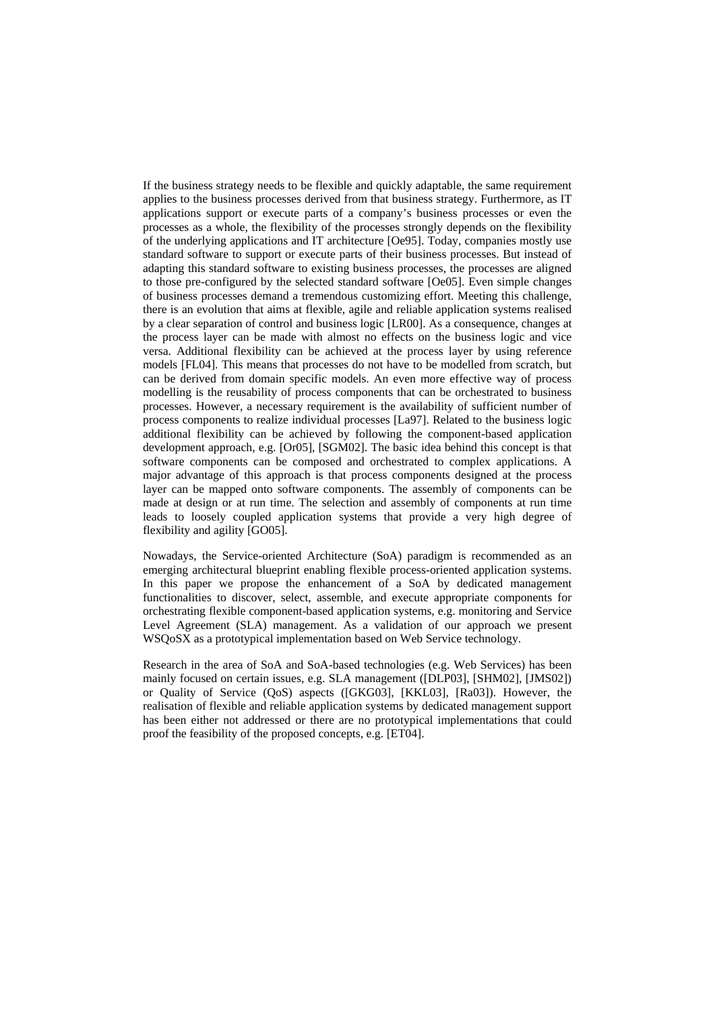If the business strategy needs to be flexible and quickly adaptable, the same requirement applies to the business processes derived from that business strategy. Furthermore, as IT applications support or execute parts of a company's business processes or even the processes as a whole, the flexibility of the processes strongly depends on the flexibility of the underlying applications and IT architecture [Oe95]. Today, companies mostly use standard software to support or execute parts of their business processes. But instead of adapting this standard software to existing business processes, the processes are aligned to those pre-configured by the selected standard software [Oe05]. Even simple changes of business processes demand a tremendous customizing effort. Meeting this challenge, there is an evolution that aims at flexible, agile and reliable application systems realised by a clear separation of control and business logic [LR00]. As a consequence, changes at the process layer can be made with almost no effects on the business logic and vice versa. Additional flexibility can be achieved at the process layer by using reference models [FL04]. This means that processes do not have to be modelled from scratch, but can be derived from domain specific models. An even more effective way of process modelling is the reusability of process components that can be orchestrated to business processes. However, a necessary requirement is the availability of sufficient number of process components to realize individual processes [La97]. Related to the business logic additional flexibility can be achieved by following the component-based application development approach, e.g. [Or05], [SGM02]. The basic idea behind this concept is that software components can be composed and orchestrated to complex applications. A major advantage of this approach is that process components designed at the process layer can be mapped onto software components. The assembly of components can be made at design or at run time. The selection and assembly of components at run time leads to loosely coupled application systems that provide a very high degree of flexibility and agility [GO05].

Nowadays, the Service-oriented Architecture (SoA) paradigm is recommended as an emerging architectural blueprint enabling flexible process-oriented application systems. In this paper we propose the enhancement of a SoA by dedicated management functionalities to discover, select, assemble, and execute appropriate components for orchestrating flexible component-based application systems, e.g. monitoring and Service Level Agreement (SLA) management. As a validation of our approach we present WSQoSX as a prototypical implementation based on Web Service technology.

Research in the area of SoA and SoA-based technologies (e.g. Web Services) has been mainly focused on certain issues, e.g. SLA management ([DLP03], [SHM02], [JMS02]) or Quality of Service (QoS) aspects ([GKG03], [KKL03], [Ra03]). However, the realisation of flexible and reliable application systems by dedicated management support has been either not addressed or there are no prototypical implementations that could proof the feasibility of the proposed concepts, e.g. [ET04].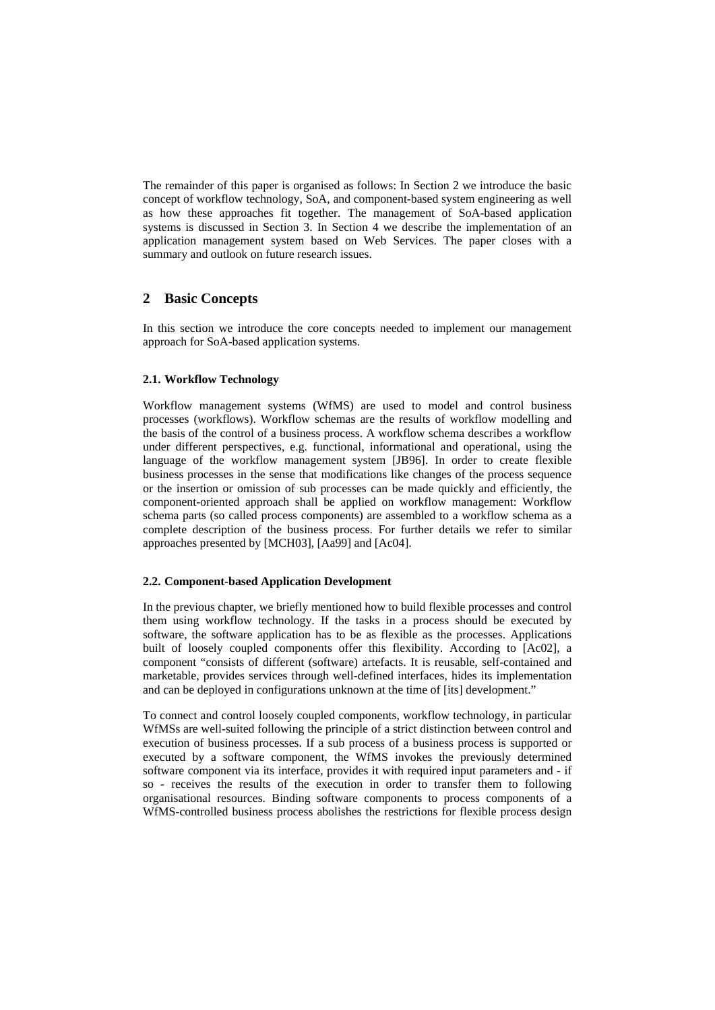The remainder of this paper is organised as follows: In Section [2](#page-2-0) we introduce the basic concept of workflow technology, SoA, and component-based system engineering as well as how these approaches fit together. The management of SoA-based application systems is discussed in Section [3.](#page-5-0) In Section [4](#page-8-0) we describe the implementation of an application management system based on Web Services. The paper closes with a summary and outlook on future research issues.

# <span id="page-2-0"></span>**2 Basic Concepts**

In this section we introduce the core concepts needed to implement our management approach for SoA-based application systems.

#### <span id="page-2-1"></span>**2.1. Workflow Technology**

Workflow management systems (WfMS) are used to model and control business processes (workflows). Workflow schemas are the results of workflow modelling and the basis of the control of a business process. A workflow schema describes a workflow under different perspectives, e.g. functional, informational and operational, using the language of the workflow management system [JB96]. In order to create flexible business processes in the sense that modifications like changes of the process sequence or the insertion or omission of sub processes can be made quickly and efficiently, the component-oriented approach shall be applied on workflow management: Workflow schema parts (so called process components) are assembled to a workflow schema as a complete description of the business process. For further details we refer to similar approaches presented by [MCH03], [Aa99] and [Ac04].

#### **2.2. Component-based Application Development**

In the previous chapter, we briefly mentioned how to build flexible processes and control them using workflow technology. If the tasks in a process should be executed by software, the software application has to be as flexible as the processes. Applications built of loosely coupled components offer this flexibility. According to [Ac02], a component "consists of different (software) artefacts. It is reusable, self-contained and marketable, provides services through well-defined interfaces, hides its implementation and can be deployed in configurations unknown at the time of [its] development."

To connect and control loosely coupled components, workflow technology, in particular WfMSs are well-suited following the principle of a strict distinction between control and execution of business processes. If a sub process of a business process is supported or executed by a software component, the WfMS invokes the previously determined software component via its interface, provides it with required input parameters and - if so - receives the results of the execution in order to transfer them to following organisational resources. Binding software components to process components of a WfMS-controlled business process abolishes the restrictions for flexible process design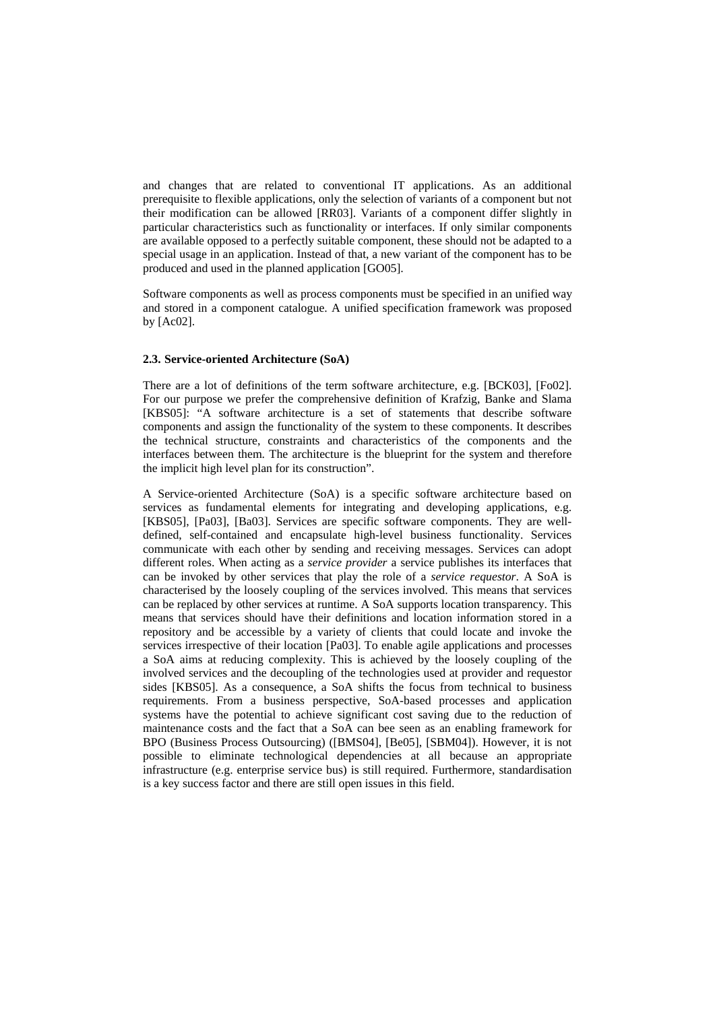and changes that are related to conventional IT applications. As an additional prerequisite to flexible applications, only the selection of variants of a component but not their modification can be allowed [RR03]. Variants of a component differ slightly in particular characteristics such as functionality or interfaces. If only similar components are available opposed to a perfectly suitable component, these should not be adapted to a special usage in an application. Instead of that, a new variant of the component has to be produced and used in the planned application [GO05].

Software components as well as process components must be specified in an unified way and stored in a component catalogue. A unified specification framework was proposed by [Ac02].

#### **2.3. Service-oriented Architecture (SoA)**

<span id="page-3-0"></span>There are a lot of definitions of the term software architecture, e.g. [BCK03], [Fo02]. For our purpose we prefer the comprehensive definition of Krafzig, Banke and Slama [KBS05]: "A software architecture is a set of statements that describe software components and assign the functionality of the system to these components. It describes the technical structure, constraints and characteristics of the components and the interfaces between them. The architecture is the blueprint for the system and therefore the implicit high level plan for its construction".

A Service-oriented Architecture (SoA) is a specific software architecture based on services as fundamental elements for integrating and developing applications, e.g. [KBS05], [Pa03], [Ba03]. Services are specific software components. They are welldefined, self-contained and encapsulate high-level business functionality. Services communicate with each other by sending and receiving messages. Services can adopt different roles. When acting as a *service provider* a service publishes its interfaces that can be invoked by other services that play the role of a *service requestor*. A SoA is characterised by the loosely coupling of the services involved. This means that services can be replaced by other services at runtime. A SoA supports location transparency. This means that services should have their definitions and location information stored in a repository and be accessible by a variety of clients that could locate and invoke the services irrespective of their location [Pa03]. To enable agile applications and processes a SoA aims at reducing complexity. This is achieved by the loosely coupling of the involved services and the decoupling of the technologies used at provider and requestor sides [KBS05]. As a consequence, a SoA shifts the focus from technical to business requirements. From a business perspective, SoA-based processes and application systems have the potential to achieve significant cost saving due to the reduction of maintenance costs and the fact that a SoA can bee seen as an enabling framework for BPO (Business Process Outsourcing) ([BMS04], [Be05], [SBM04]). However, it is not possible to eliminate technological dependencies at all because an appropriate infrastructure (e.g. enterprise service bus) is still required. Furthermore, standardisation is a key success factor and there are still open issues in this field.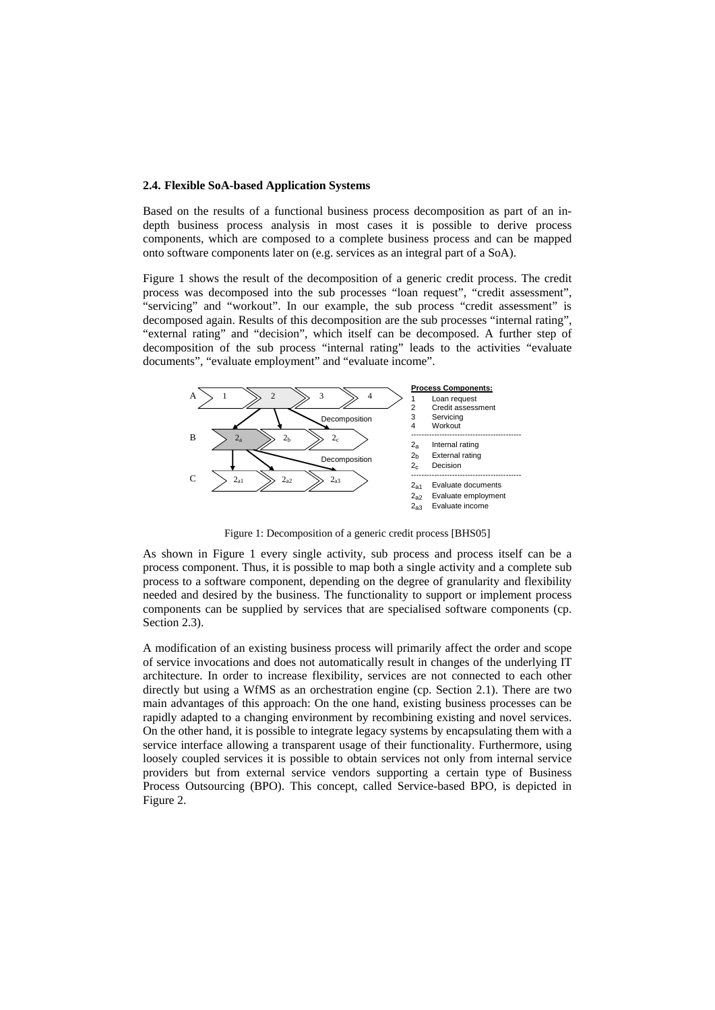#### **2.4. Flexible SoA-based Application Systems**

Based on the results of a functional business process decomposition as part of an indepth business process analysis in most cases it is possible to derive process components, which are composed to a complete business process and can be mapped onto software components later on (e.g. services as an integral part of a SoA).

[Figure 1](#page-4-0) shows the result of the decomposition of a generic credit process. The credit process was decomposed into the sub processes "loan request", "credit assessment", "servicing" and "workout". In our example, the sub process "credit assessment" is decomposed again. Results of this decomposition are the sub processes "internal rating", "external rating" and "decision", which itself can be decomposed. A further step of decomposition of the sub process "internal rating" leads to the activities "evaluate documents", "evaluate employment" and "evaluate income".



Figure 1: Decomposition of a generic credit process [BHS05]

<span id="page-4-0"></span>As shown in [Figure 1](#page-4-0) every single activity, sub process and process itself can be a process component. Thus, it is possible to map both a single activity and a complete sub process to a software component, depending on the degree of granularity and flexibility needed and desired by the business. The functionality to support or implement process components can be supplied by services that are specialised software components (cp. Section [2.3](#page-3-0)).

A modification of an existing business process will primarily affect the order and scope of service invocations and does not automatically result in changes of the underlying IT architecture. In order to increase flexibility, services are not connected to each other directly but using a WfMS as an orchestration engine (cp. Section [2.1](#page-2-1)). There are two main advantages of this approach: On the one hand, existing business processes can be rapidly adapted to a changing environment by recombining existing and novel services. On the other hand, it is possible to integrate legacy systems by encapsulating them with a service interface allowing a transparent usage of their functionality. Furthermore, using loosely coupled services it is possible to obtain services not only from internal service providers but from external service vendors supporting a certain type of Business Process Outsourcing (BPO). This concept, called Service-based BPO, is depicted in Figure 2.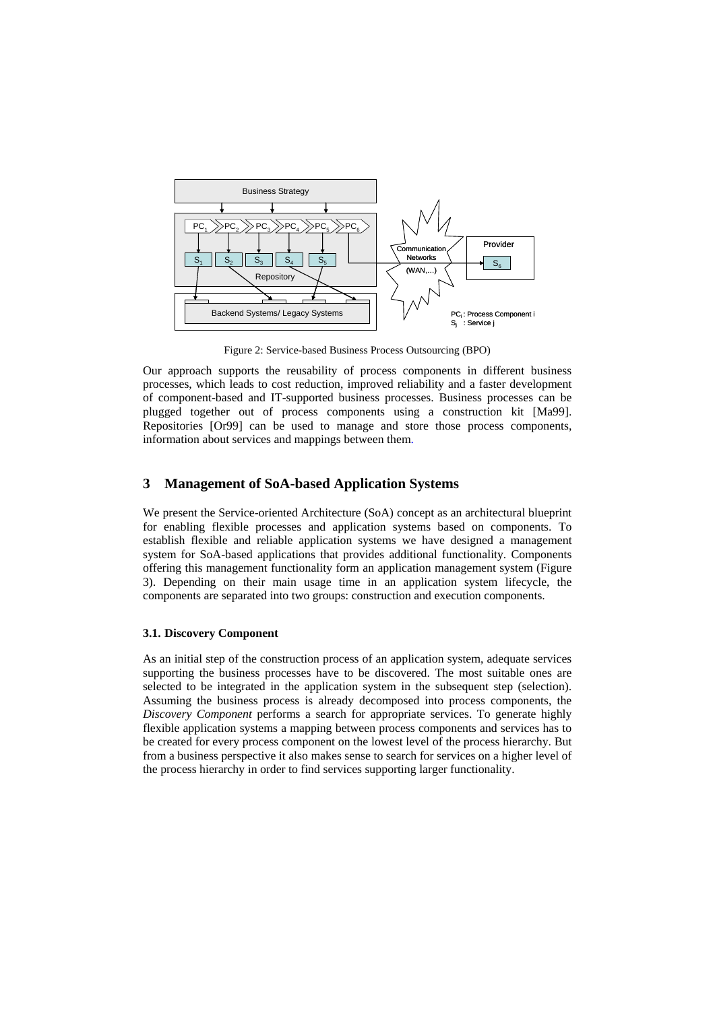

Figure 2: Service-based Business Process Outsourcing (BPO)

Our approach supports the reusability of process components in different business processes, which leads to cost reduction, improved reliability and a faster development of component-based and IT-supported business processes. Business processes can be plugged together out of process components using a construction kit [Ma99]. Repositories [Or99] can be used to manage and store those process components, information about services and mappings between them.

#### <span id="page-5-0"></span>**3 Management of SoA-based Application Systems**

We present the Service-oriented Architecture (SoA) concept as an architectural blueprint for enabling flexible processes and application systems based on components. To establish flexible and reliable application systems we have designed a management system for SoA-based applications that provides additional functionality. Components offering this management functionality form an application management system [\(Figure](#page-6-0)  [3](#page-6-0)). Depending on their main usage time in an application system lifecycle, the components are separated into two groups: construction and execution components.

#### **3.1. Discovery Component**

As an initial step of the construction process of an application system, adequate services supporting the business processes have to be discovered. The most suitable ones are selected to be integrated in the application system in the subsequent step (selection). Assuming the business process is already decomposed into process components, the *Discovery Component* performs a search for appropriate services. To generate highly flexible application systems a mapping between process components and services has to be created for every process component on the lowest level of the process hierarchy. But from a business perspective it also makes sense to search for services on a higher level of the process hierarchy in order to find services supporting larger functionality.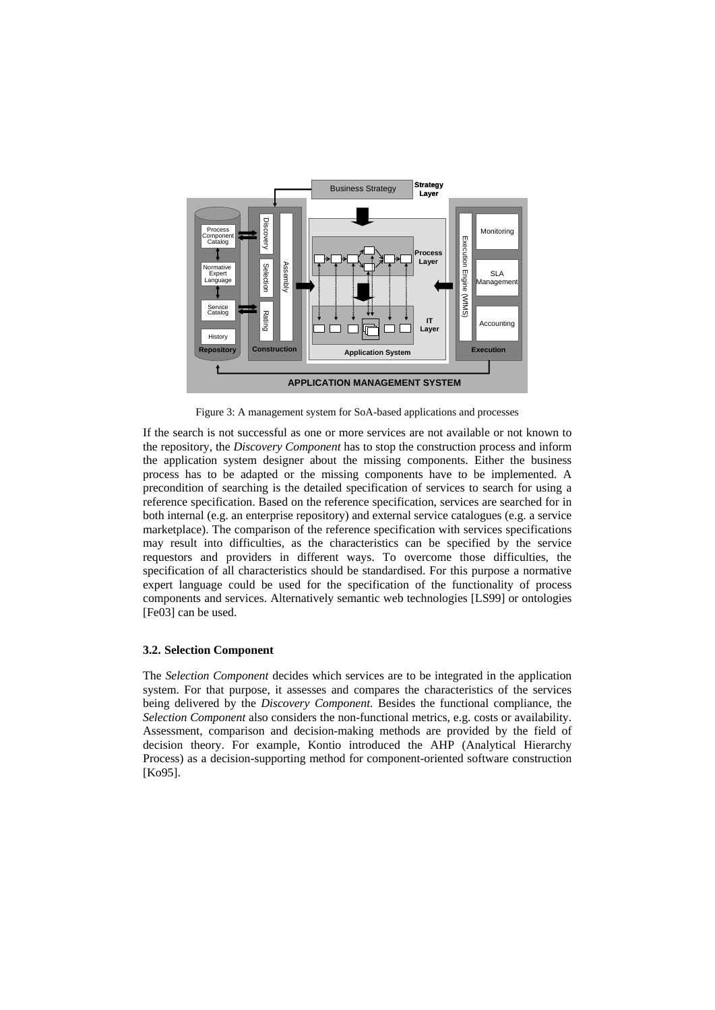

Figure 3: A management system for SoA-based applications and processes

<span id="page-6-0"></span>If the search is not successful as one or more services are not available or not known to the repository, the *Discovery Component* has to stop the construction process and inform the application system designer about the missing components. Either the business process has to be adapted or the missing components have to be implemented. A precondition of searching is the detailed specification of services to search for using a reference specification. Based on the reference specification, services are searched for in both internal (e.g. an enterprise repository) and external service catalogues (e.g. a service marketplace). The comparison of the reference specification with services specifications may result into difficulties, as the characteristics can be specified by the service requestors and providers in different ways. To overcome those difficulties, the specification of all characteristics should be standardised. For this purpose a normative expert language could be used for the specification of the functionality of process components and services. Alternatively semantic web technologies [LS99] or ontologies [Fe03] can be used.

#### **3.2. Selection Component**

The *Selection Component* decides which services are to be integrated in the application system. For that purpose, it assesses and compares the characteristics of the services being delivered by the *Discovery Component*. Besides the functional compliance, the *Selection Component* also considers the non-functional metrics, e.g. costs or availability. Assessment, comparison and decision-making methods are provided by the field of decision theory. For example, Kontio introduced the AHP (Analytical Hierarchy Process) as a decision-supporting method for component-oriented software construction [Ko95].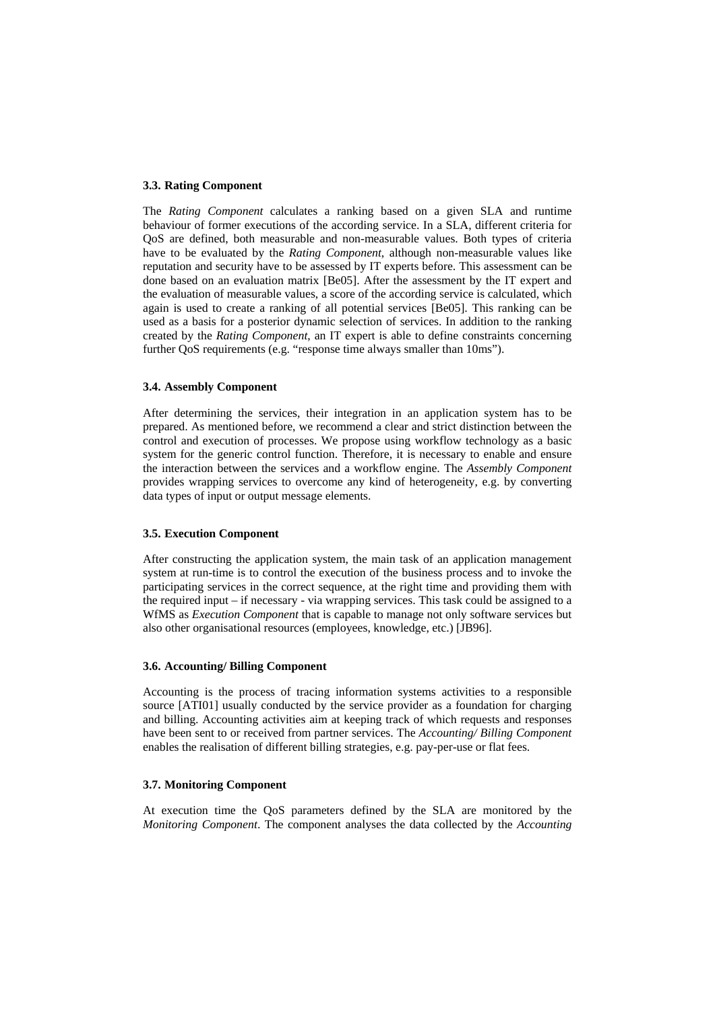#### **3.3. Rating Component**

The *Rating Component* calculates a ranking based on a given SLA and runtime behaviour of former executions of the according service. In a SLA, different criteria for QoS are defined, both measurable and non-measurable values. Both types of criteria have to be evaluated by the *Rating Component*, although non-measurable values like reputation and security have to be assessed by IT experts before. This assessment can be done based on an evaluation matrix [Be05]. After the assessment by the IT expert and the evaluation of measurable values, a score of the according service is calculated, which again is used to create a ranking of all potential services [Be05]. This ranking can be used as a basis for a posterior dynamic selection of services. In addition to the ranking created by the *Rating Component*, an IT expert is able to define constraints concerning further QoS requirements (e.g. "response time always smaller than 10ms").

## **3.4. Assembly Component**

After determining the services, their integration in an application system has to be prepared. As mentioned before, we recommend a clear and strict distinction between the control and execution of processes. We propose using workflow technology as a basic system for the generic control function. Therefore, it is necessary to enable and ensure the interaction between the services and a workflow engine. The *Assembly Component* provides wrapping services to overcome any kind of heterogeneity, e.g. by converting data types of input or output message elements.

## **3.5. Execution Component**

After constructing the application system, the main task of an application management system at run-time is to control the execution of the business process and to invoke the participating services in the correct sequence, at the right time and providing them with the required input – if necessary - via wrapping services. This task could be assigned to a WfMS as *Execution Component* that is capable to manage not only software services but also other organisational resources (employees, knowledge, etc.) [JB96].

### **3.6. Accounting/ Billing Component**

Accounting is the process of tracing information systems activities to a responsible source [ATI01] usually conducted by the service provider as a foundation for charging and billing. Accounting activities aim at keeping track of which requests and responses have been sent to or received from partner services. The *Accounting/ Billing Component* enables the realisation of different billing strategies, e.g. pay-per-use or flat fees.

## **3.7. Monitoring Component**

At execution time the QoS parameters defined by the SLA are monitored by the *Monitoring Component*. The component analyses the data collected by the *Accounting*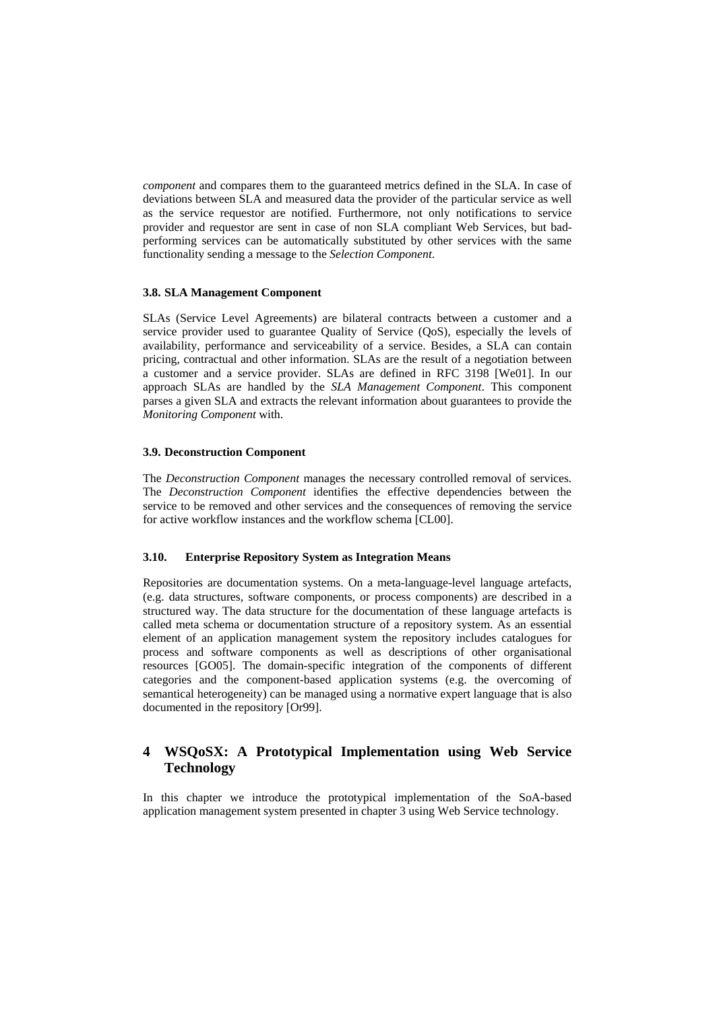*component* and compares them to the guaranteed metrics defined in the SLA. In case of deviations between SLA and measured data the provider of the particular service as well as the service requestor are notified. Furthermore, not only notifications to service provider and requestor are sent in case of non SLA compliant Web Services, but badperforming services can be automatically substituted by other services with the same functionality sending a message to the *Selection Component*.

#### **3.8. SLA Management Component**

SLAs (Service Level Agreements) are bilateral contracts between a customer and a service provider used to guarantee Quality of Service (QoS), especially the levels of availability, performance and serviceability of a service. Besides, a SLA can contain pricing, contractual and other information. SLAs are the result of a negotiation between a customer and a service provider. SLAs are defined in RFC 3198 [We01]. In our approach SLAs are handled by the *SLA Management Component*. This component parses a given SLA and extracts the relevant information about guarantees to provide the *Monitoring Component* with.

#### **3.9. Deconstruction Component**

The *Deconstruction Component* manages the necessary controlled removal of services. The *Deconstruction Component* identifies the effective dependencies between the service to be removed and other services and the consequences of removing the service for active workflow instances and the workflow schema [CL00].

#### **3.10. Enterprise Repository System as Integration Means**

Repositories are documentation systems. On a meta-language-level language artefacts, (e.g. data structures, software components, or process components) are described in a structured way. The data structure for the documentation of these language artefacts is called meta schema or documentation structure of a repository system. As an essential element of an application management system the repository includes catalogues for process and software components as well as descriptions of other organisational resources [GO05]. The domain-specific integration of the components of different categories and the component-based application systems (e.g. the overcoming of semantical heterogeneity) can be managed using a normative expert language that is also documented in the repository [Or99].

# <span id="page-8-0"></span>**4 WSQoSX: A Prototypical Implementation using Web Service Technology**

In this chapter we introduce the prototypical implementation of the SoA-based application management system presented in chapter 3 using Web Service technology.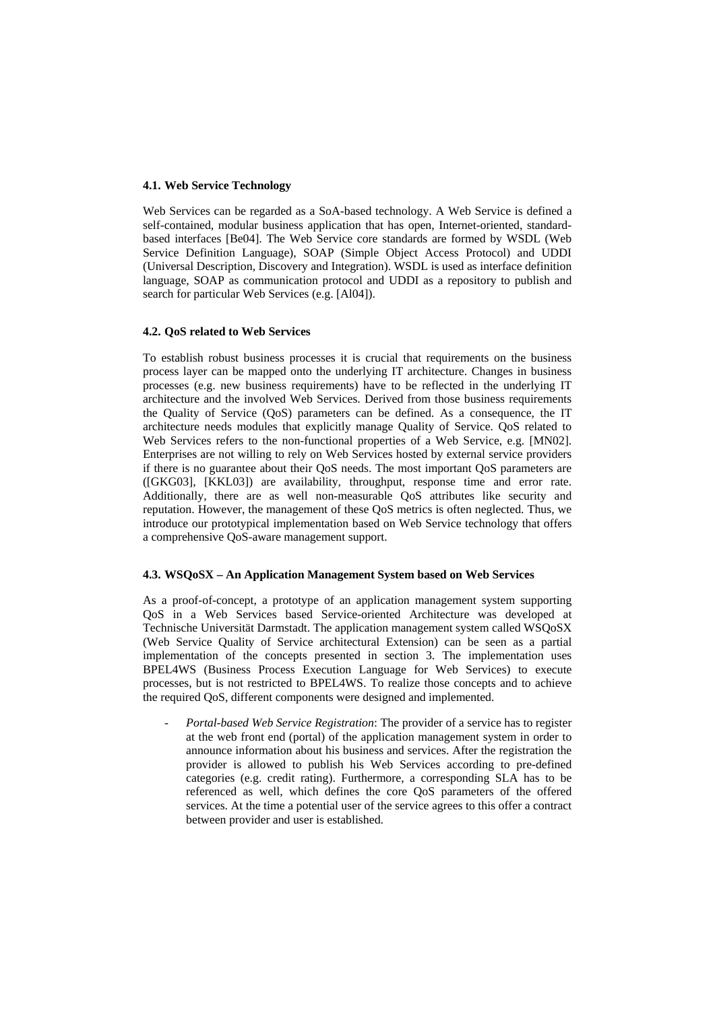#### **4.1. Web Service Technology**

Web Services can be regarded as a SoA-based technology. A Web Service is defined a self-contained, modular business application that has open, Internet-oriented, standardbased interfaces [Be04]. The Web Service core standards are formed by WSDL (Web Service Definition Language), SOAP (Simple Object Access Protocol) and UDDI (Universal Description, Discovery and Integration). WSDL is used as interface definition language, SOAP as communication protocol and UDDI as a repository to publish and search for particular Web Services (e.g. [Al04]).

#### **4.2. QoS related to Web Services**

To establish robust business processes it is crucial that requirements on the business process layer can be mapped onto the underlying IT architecture. Changes in business processes (e.g. new business requirements) have to be reflected in the underlying IT architecture and the involved Web Services. Derived from those business requirements the Quality of Service (QoS) parameters can be defined. As a consequence, the IT architecture needs modules that explicitly manage Quality of Service. QoS related to Web Services refers to the non-functional properties of a Web Service, e.g. [MN02]. Enterprises are not willing to rely on Web Services hosted by external service providers if there is no guarantee about their QoS needs. The most important QoS parameters are ([GKG03], [KKL03]) are availability, throughput, response time and error rate. Additionally, there are as well non-measurable QoS attributes like security and reputation. However, the management of these QoS metrics is often neglected. Thus, we introduce our prototypical implementation based on Web Service technology that offers a comprehensive QoS-aware management support.

## **4.3. WSQoSX – An Application Management System based on Web Services**

As a proof-of-concept, a prototype of an application management system supporting QoS in a Web Services based Service-oriented Architecture was developed at Technische Universität Darmstadt. The application management system called WSOoSX (Web Service Quality of Service architectural Extension) can be seen as a partial implementation of the concepts presented in section [3.](#page-5-0) The implementation uses BPEL4WS (Business Process Execution Language for Web Services) to execute processes, but is not restricted to BPEL4WS. To realize those concepts and to achieve the required QoS, different components were designed and implemented.

- *Portal-based Web Service Registration*: The provider of a service has to register at the web front end (portal) of the application management system in order to announce information about his business and services. After the registration the provider is allowed to publish his Web Services according to pre-defined categories (e.g. credit rating). Furthermore, a corresponding SLA has to be referenced as well, which defines the core QoS parameters of the offered services. At the time a potential user of the service agrees to this offer a contract between provider and user is established.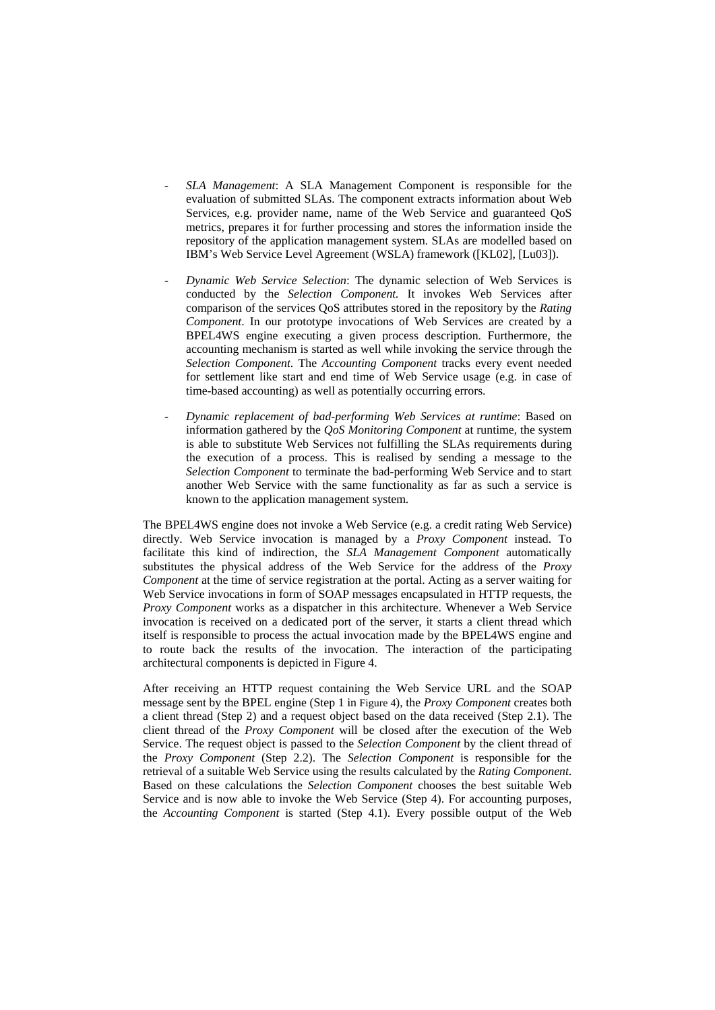- *SLA Management*: A SLA Management Component is responsible for the evaluation of submitted SLAs. The component extracts information about Web Services, e.g. provider name, name of the Web Service and guaranteed QoS metrics, prepares it for further processing and stores the information inside the repository of the application management system. SLAs are modelled based on IBM's Web Service Level Agreement (WSLA) framework ([KL02], [Lu03]).
- *Dynamic Web Service Selection*: The dynamic selection of Web Services is conducted by the *Selection Component.* It invokes Web Services after comparison of the services QoS attributes stored in the repository by the *Rating Component*. In our prototype invocations of Web Services are created by a BPEL4WS engine executing a given process description. Furthermore, the accounting mechanism is started as well while invoking the service through the *Selection Component*. The *Accounting Component* tracks every event needed for settlement like start and end time of Web Service usage (e.g. in case of time-based accounting) as well as potentially occurring errors.
- *Dynamic replacement of bad-performing Web Services at runtime*: Based on information gathered by the *QoS Monitoring Component* at runtime, the system is able to substitute Web Services not fulfilling the SLAs requirements during the execution of a process. This is realised by sending a message to the *Selection Component* to terminate the bad-performing Web Service and to start another Web Service with the same functionality as far as such a service is known to the application management system.

The BPEL4WS engine does not invoke a Web Service (e.g. a credit rating Web Service) directly. Web Service invocation is managed by a *Proxy Component* instead. To facilitate this kind of indirection, the *SLA Management Component* automatically substitutes the physical address of the Web Service for the address of the *Proxy Component* at the time of service registration at the portal. Acting as a server waiting for Web Service invocations in form of SOAP messages encapsulated in HTTP requests, the *Proxy Component* works as a dispatcher in this architecture. Whenever a Web Service invocation is received on a dedicated port of the server, it starts a client thread which itself is responsible to process the actual invocation made by the BPEL4WS engine and to route back the results of the invocation. The interaction of the participating architectural components is depicted in [Figure 4.](#page-11-0)

After receiving an HTTP request containing the Web Service URL and the SOAP message sent by the BPEL engine (Step 1 in [Figure 4\)](#page-11-0), the *Proxy Component* creates both a client thread (Step 2) and a request object based on the data received (Step 2.1). The client thread of the *Proxy Component* will be closed after the execution of the Web Service. The request object is passed to the *Selection Component* by the client thread of the *Proxy Component* (Step 2.2). The *Selection Component* is responsible for the retrieval of a suitable Web Service using the results calculated by the *Rating Component*. Based on these calculations the *Selection Component* chooses the best suitable Web Service and is now able to invoke the Web Service (Step 4). For accounting purposes, the *Accounting Component* is started (Step 4.1). Every possible output of the Web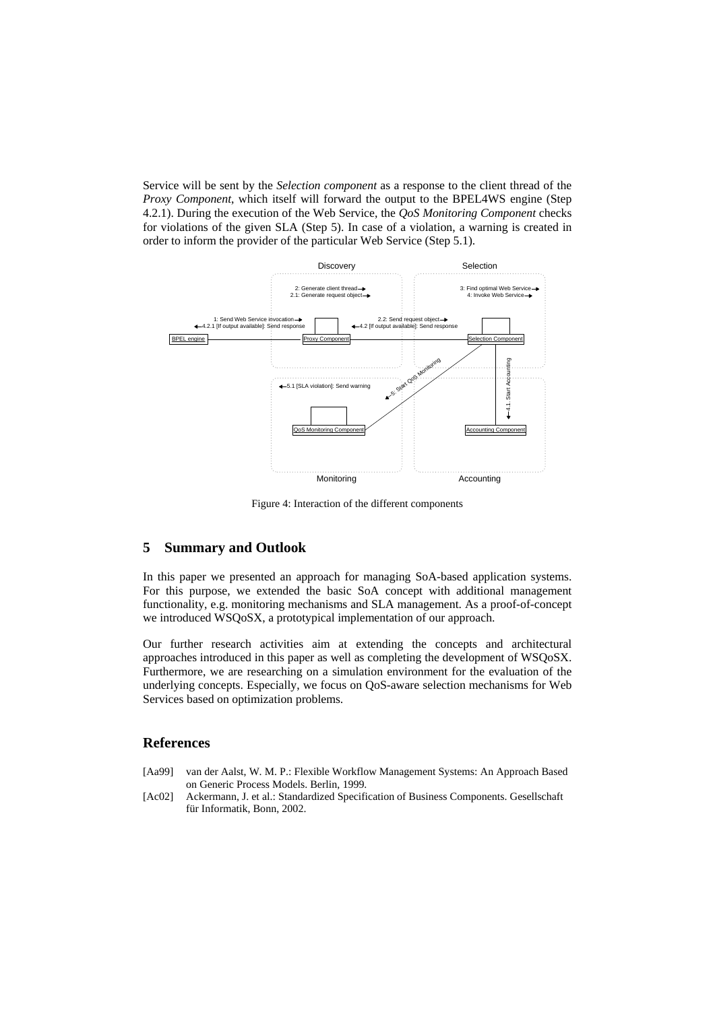Service will be sent by the *Selection component* as a response to the client thread of the *Proxy Component*, which itself will forward the output to the BPEL4WS engine (Step 4.2.1). During the execution of the Web Service, the *QoS Monitoring Component* checks for violations of the given SLA (Step 5). In case of a violation, a warning is created in order to inform the provider of the particular Web Service (Step 5.1).



Figure 4: Interaction of the different components

# <span id="page-11-0"></span>**5 Summary and Outlook**

In this paper we presented an approach for managing SoA-based application systems. For this purpose, we extended the basic SoA concept with additional management functionality, e.g. monitoring mechanisms and SLA management. As a proof-of-concept we introduced WSQoSX, a prototypical implementation of our approach.

Our further research activities aim at extending the concepts and architectural approaches introduced in this paper as well as completing the development of WSQoSX. Furthermore, we are researching on a simulation environment for the evaluation of the underlying concepts. Especially, we focus on QoS-aware selection mechanisms for Web Services based on optimization problems.

#### **References**

- [Aa99] van der Aalst, W. M. P.: Flexible Workflow Management Systems: An Approach Based on Generic Process Models. Berlin, 1999.
- [Ac02] Ackermann, J. et al.: Standardized Specification of Business Components. Gesellschaft für Informatik, Bonn, 2002.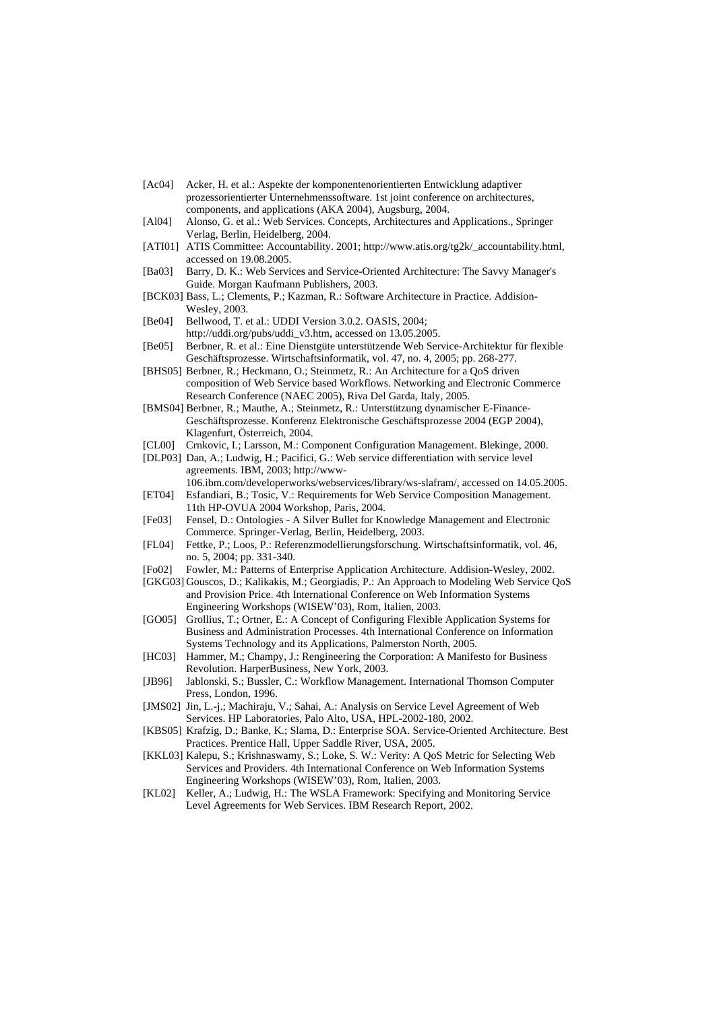- [Ac04] Acker, H. et al.: Aspekte der komponentenorientierten Entwicklung adaptiver prozessorientierter Unternehmenssoftware. 1st joint conference on architectures, components, and applications (AKA 2004), Augsburg, 2004.
- [Al04] Alonso, G. et al.: Web Services. Concepts, Architectures and Applications., Springer Verlag, Berlin, Heidelberg, 2004.
- [ATI01] ATIS Committee: Accountability. 2001; http://www.atis.org/tg2k/\_accountability.html, accessed on 19.08.2005.
- [Ba03] Barry, D. K.: Web Services and Service-Oriented Architecture: The Savvy Manager's Guide. Morgan Kaufmann Publishers, 2003.
- [BCK03] Bass, L.; Clements, P.; Kazman, R.: Software Architecture in Practice. Addision-Wesley, 2003.
- [Be04] Bellwood, T. et al.: UDDI Version 3.0.2. OASIS, 2004; http://uddi.org/pubs/uddi\_v3.htm, accessed on 13.05.2005.
- [Be05] Berbner, R. et al.: Eine Dienstgüte unterstützende Web Service-Architektur für flexible Geschäftsprozesse. Wirtschaftsinformatik, vol. 47, no. 4, 2005; pp. 268-277.
- [BHS05] Berbner, R.; Heckmann, O.; Steinmetz, R.: An Architecture for a QoS driven composition of Web Service based Workflows. Networking and Electronic Commerce Research Conference (NAEC 2005), Riva Del Garda, Italy, 2005.
- [BMS04] Berbner, R.; Mauthe, A.; Steinmetz, R.: Unterstützung dynamischer E-Finance-Geschäftsprozesse. Konferenz Elektronische Geschäftsprozesse 2004 (EGP 2004), Klagenfurt, Österreich, 2004.
- [CL00] Crnkovic, I.; Larsson, M.: Component Configuration Management. Blekinge, 2000.
- [DLP03] Dan, A.; Ludwig, H.; Pacifici, G.: Web service differentiation with service level agreements. IBM, 2003; http://www-
- 106.ibm.com/developerworks/webservices/library/ws-slafram/, accessed on 14.05.2005. [ET04] Esfandiari, B.; Tosic, V.: Requirements for Web Service Composition Management.
- 11th HP-OVUA 2004 Workshop, Paris, 2004. [Fe03] Fensel, D.: Ontologies - A Silver Bullet for Knowledge Management and Electronic Commerce. Springer-Verlag, Berlin, Heidelberg, 2003.
- [FL04] Fettke, P.; Loos, P.: Referenzmodellierungsforschung. Wirtschaftsinformatik, vol. 46, no. 5, 2004; pp. 331-340.
- [Fo02] Fowler, M.: Patterns of Enterprise Application Architecture. Addision-Wesley, 2002.
- [GKG03] Gouscos, D.; Kalikakis, M.; Georgiadis, P.: An Approach to Modeling Web Service QoS and Provision Price. 4th International Conference on Web Information Systems Engineering Workshops (WISEW'03), Rom, Italien, 2003.
- [GO05] Grollius, T.; Ortner, E.: A Concept of Configuring Flexible Application Systems for Business and Administration Processes. 4th International Conference on Information Systems Technology and its Applications, Palmerston North, 2005.
- [HC03] Hammer, M.; Champy, J.: Rengineering the Corporation: A Manifesto for Business Revolution. HarperBusiness, New York, 2003.
- [JB96] Jablonski, S.; Bussler, C.: Workflow Management. International Thomson Computer Press, London, 1996.
- [JMS02] Jin, L.-j.; Machiraju, V.; Sahai, A.: Analysis on Service Level Agreement of Web Services. HP Laboratories, Palo Alto, USA, HPL-2002-180, 2002.
- [KBS05] Krafzig, D.; Banke, K.; Slama, D.: Enterprise SOA. Service-Oriented Architecture. Best Practices. Prentice Hall, Upper Saddle River, USA, 2005.
- [KKL03] Kalepu, S.; Krishnaswamy, S.; Loke, S. W.: Verity: A QoS Metric for Selecting Web Services and Providers. 4th International Conference on Web Information Systems Engineering Workshops (WISEW'03), Rom, Italien, 2003.
- [KL02] Keller, A.; Ludwig, H.: The WSLA Framework: Specifying and Monitoring Service Level Agreements for Web Services. IBM Research Report, 2002.